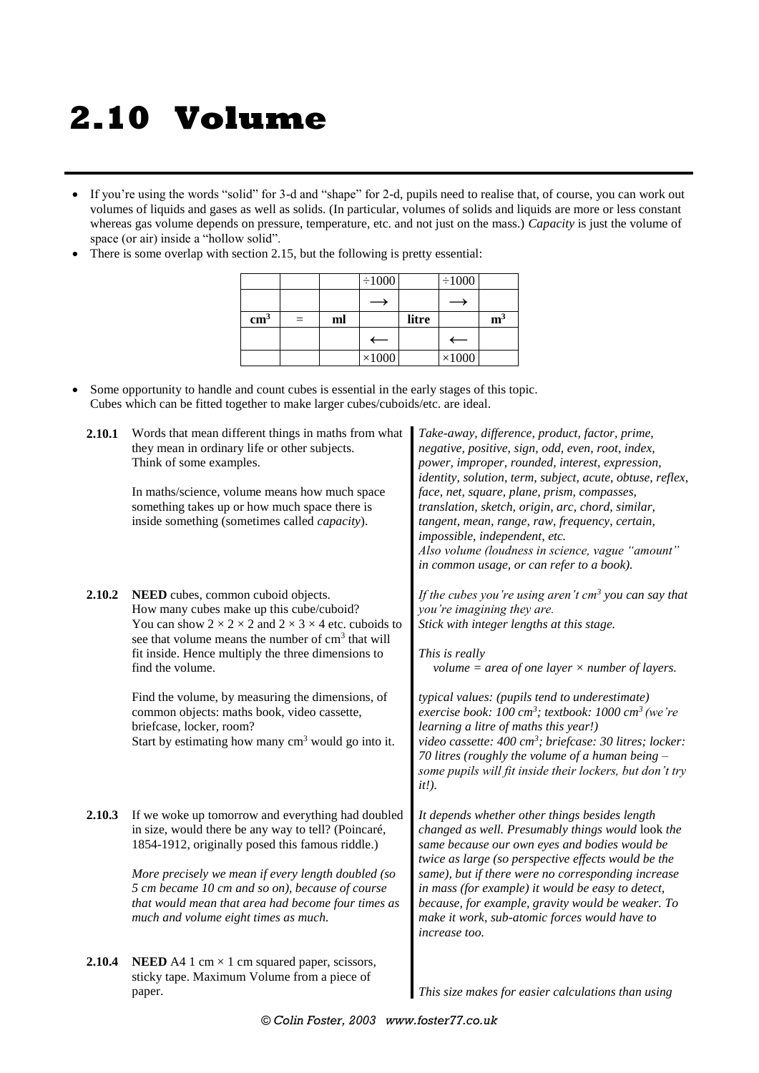## **2.10 Volume**

- If you're using the words "solid" for 3-d and "shape" for 2-d, pupils need to realise that, of course, you can work out volumes of liquids and gases as well as solids. (In particular, volumes of solids and liquids are more or less constant whereas gas volume depends on pressure, temperature, etc. and not just on the mass.) *Capacity* is just the volume of space (or air) inside a "hollow solid".
- There is some overlap with section 2.15, but the following is pretty essential:

|               |     |    | $\div 1000$      |       | $\div 1000$      |                |
|---------------|-----|----|------------------|-------|------------------|----------------|
|               |     |    |                  |       |                  |                |
| $\text{cm}^3$ | $=$ | ml |                  | litre |                  | m <sup>3</sup> |
|               |     |    | $\longleftarrow$ |       | $\longleftarrow$ |                |
|               |     |    | $\times 1000$    |       | $\times 1000$    |                |

 Some opportunity to handle and count cubes is essential in the early stages of this topic. Cubes which can be fitted together to make larger cubes/cuboids/etc. are ideal.

| 2.10.1 | Words that mean different things in maths from what<br>they mean in ordinary life or other subjects.<br>Think of some examples.<br>In maths/science, volume means how much space<br>something takes up or how much space there is<br>inside something (sometimes called <i>capacity</i> ).                                                                                                                                                                                                       | Take-away, difference, product, factor, prime,<br>negative, positive, sign, odd, even, root, index,<br>power, improper, rounded, interest, expression,<br>identity, solution, term, subject, acute, obtuse, reflex,<br>face, net, square, plane, prism, compasses,<br>translation, sketch, origin, arc, chord, similar,<br>tangent, mean, range, raw, frequency, certain,<br>impossible, independent, etc.<br>Also volume (loudness in science, vague "amount"<br>in common usage, or can refer to a book).                                                                               |
|--------|--------------------------------------------------------------------------------------------------------------------------------------------------------------------------------------------------------------------------------------------------------------------------------------------------------------------------------------------------------------------------------------------------------------------------------------------------------------------------------------------------|-------------------------------------------------------------------------------------------------------------------------------------------------------------------------------------------------------------------------------------------------------------------------------------------------------------------------------------------------------------------------------------------------------------------------------------------------------------------------------------------------------------------------------------------------------------------------------------------|
| 2.10.2 | NEED cubes, common cuboid objects.<br>How many cubes make up this cube/cuboid?<br>You can show $2 \times 2 \times 2$ and $2 \times 3 \times 4$ etc. cuboids to<br>see that volume means the number of cm <sup>3</sup> that will<br>fit inside. Hence multiply the three dimensions to<br>find the volume.<br>Find the volume, by measuring the dimensions, of<br>common objects: maths book, video cassette,<br>briefcase, locker, room?<br>Start by estimating how many $cm3$ would go into it. | If the cubes you're using aren't $cm3$ you can say that<br>you're imagining they are.<br>Stick with integer lengths at this stage.<br>This is really<br>volume = area of one layer $\times$ number of layers.<br>typical values: (pupils tend to underestimate)<br>exercise book: 100 cm <sup>3</sup> ; textbook: 1000 cm <sup>3</sup> (we're<br>learning a litre of maths this year!)<br>video cassette: 400 cm <sup>3</sup> ; briefcase: 30 litres; locker:<br>70 litres (roughly the volume of a human being $-$<br>some pupils will fit inside their lockers, but don't try<br>$it$ . |
| 2.10.3 | If we woke up tomorrow and everything had doubled<br>in size, would there be any way to tell? (Poincaré,<br>1854-1912, originally posed this famous riddle.)<br>More precisely we mean if every length doubled (so<br>5 cm became 10 cm and so on), because of course<br>that would mean that area had become four times as<br>much and volume eight times as much.                                                                                                                              | It depends whether other things besides length<br>changed as well. Presumably things would look the<br>same because our own eyes and bodies would be<br>twice as large (so perspective effects would be the<br>same), but if there were no corresponding increase<br>in mass (for example) it would be easy to detect,<br>because, for example, gravity would be weaker. To<br>make it work, sub-atomic forces would have to<br>increase too.                                                                                                                                             |
| 2.10.4 | <b>NEED</b> A4 1 cm $\times$ 1 cm squared paper, scissors,<br>sticky tape. Maximum Volume from a piece of<br>paper.                                                                                                                                                                                                                                                                                                                                                                              | This size makes for easier calculations than using                                                                                                                                                                                                                                                                                                                                                                                                                                                                                                                                        |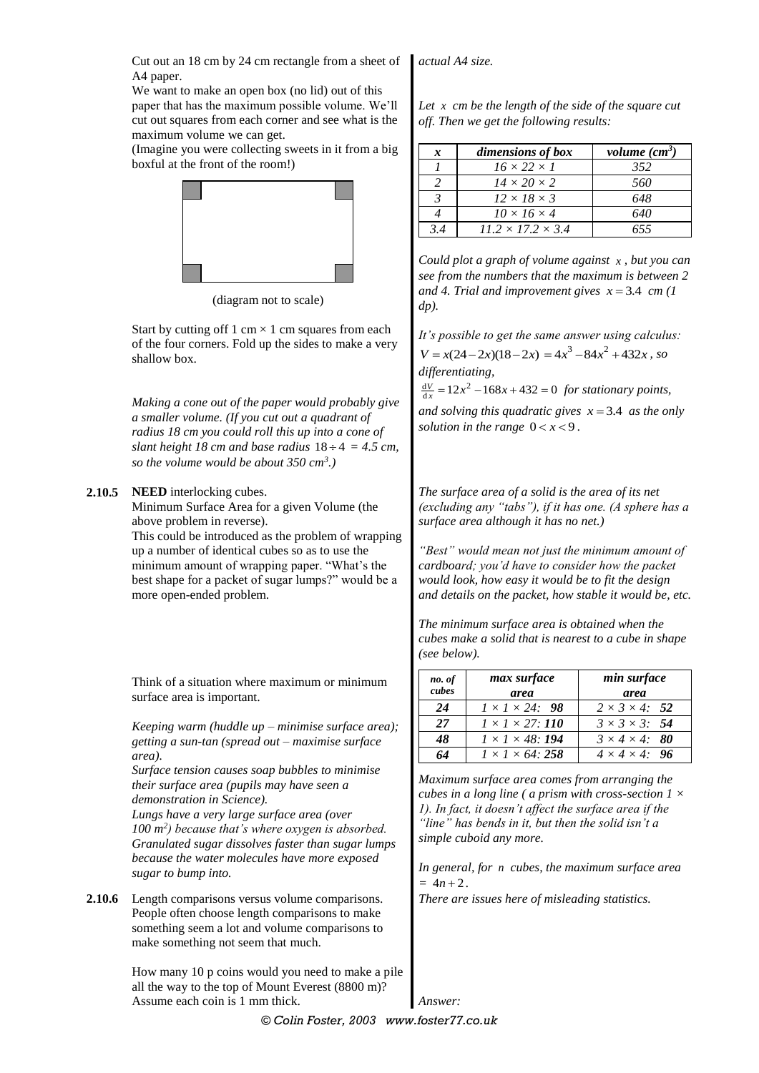Cut out an 18 cm by 24 cm rectangle from a sheet of A4 paper.

We want to make an open box (no lid) out of this

paper that has the maximum possible volume. We'll cut out squares from each corner and see what is the maximum volume we can get.

(Imagine you were collecting sweets in it from a big boxful at the front of the room!)



(diagram not to scale)

Start by cutting off 1 cm  $\times$  1 cm squares from each of the four corners. Fold up the sides to make a very shallow box.

*Making a cone out of the paper would probably give a smaller volume. (If you cut out a quadrant of radius 18 cm you could roll this up into a cone of slant height 18 cm and base radius*  $18 \div 4 = 4.5$  *cm, so the volume would be about 350 cm<sup>3</sup> .)*

## **2.10.5 NEED** interlocking cubes.

Minimum Surface Area for a given Volume (the above problem in reverse).

This could be introduced as the problem of wrapping up a number of identical cubes so as to use the minimum amount of wrapping paper. "What's the best shape for a packet of sugar lumps?" would be a more open-ended problem.

Think of a situation where maximum or minimum surface area is important.

*Keeping warm (huddle up – minimise surface area); getting a sun-tan (spread out – maximise surface area).*

*Surface tension causes soap bubbles to minimise their surface area (pupils may have seen a demonstration in Science).*

*Lungs have a very large surface area (over 100 m<sup>2</sup> ) because that's where oxygen is absorbed. Granulated sugar dissolves faster than sugar lumps because the water molecules have more exposed sugar to bump into.*

**2.10.6** Length comparisons versus volume comparisons. People often choose length comparisons to make something seem a lot and volume comparisons to make something not seem that much.

> How many 10 p coins would you need to make a pile all the way to the top of Mount Everest (8800 m)? Assume each coin is 1 mm thick.

*actual A4 size.*

*Let x cm be the length of the side of the square cut off. Then we get the following results:*

| x   | dimensions of box             | volume $(cm3)$ |
|-----|-------------------------------|----------------|
|     | $16 \times 22 \times 1$       | 352            |
|     | $14 \times 20 \times 2$       | 560            |
| 3   | $12 \times 18 \times 3$       | 648            |
|     | $10 \times 16 \times 4$       | 640            |
| 3.4 | $11.2 \times 17.2 \times 3.4$ | 655            |

*Could plot a graph of volume against x , but you can see from the numbers that the maximum is between 2*  and 4. Trial and improvement gives  $x = 3.4$  cm (1) *dp).*

*It's possible to get the same answer using calculus:* 

 $V = x(24 - 2x)(18 - 2x) = 4x^3 - 84x^2 + 432x$ , so *differentiating,*

 $\frac{dV}{dx} = 12x^2 - 168x + 432 = 0$  *for stationary points,* 

and solving this quadratic gives  $x = 3.4$  as the only solution in the range  $0 < x < 9$ .

*The surface area of a solid is the area of its net (excluding any "tabs"), if it has one. (A sphere has a surface area although it has no net.)*

*"Best" would mean not just the minimum amount of cardboard; you'd have to consider how the packet would look, how easy it would be to fit the design and details on the packet, how stable it would be, etc.*

*The minimum surface area is obtained when the cubes make a solid that is nearest to a cube in shape (see below).*

| no. of<br>cubes | max surface<br>area          | min surface<br>area        |
|-----------------|------------------------------|----------------------------|
| 24              | $1 \times 1 \times 24$ : 98  | $2 \times 3 \times 4$ : 52 |
| 27              | $1 \times 1 \times 27$ : 110 | $3 \times 3 \times 3$ : 54 |
| 48              | $1 \times 1 \times 48$ : 194 | $3 \times 4 \times 4$ : 80 |
| 64              | $1 \times 1 \times 64$ : 258 | $4 \times 4 \times 4$ : 96 |

*Maximum surface area comes from arranging the cubes in a long line ( a prism with cross-section 1 × 1). In fact, it doesn't affect the surface area if the "line" has bends in it, but then the solid isn't a simple cuboid any more.*

*In general, for n cubes, the maximum surface area*   $= 4n + 2.$ 

*There are issues here of misleading statistics.*

*© Colin Foster, 2003 www.foster77.co.uk Answer:*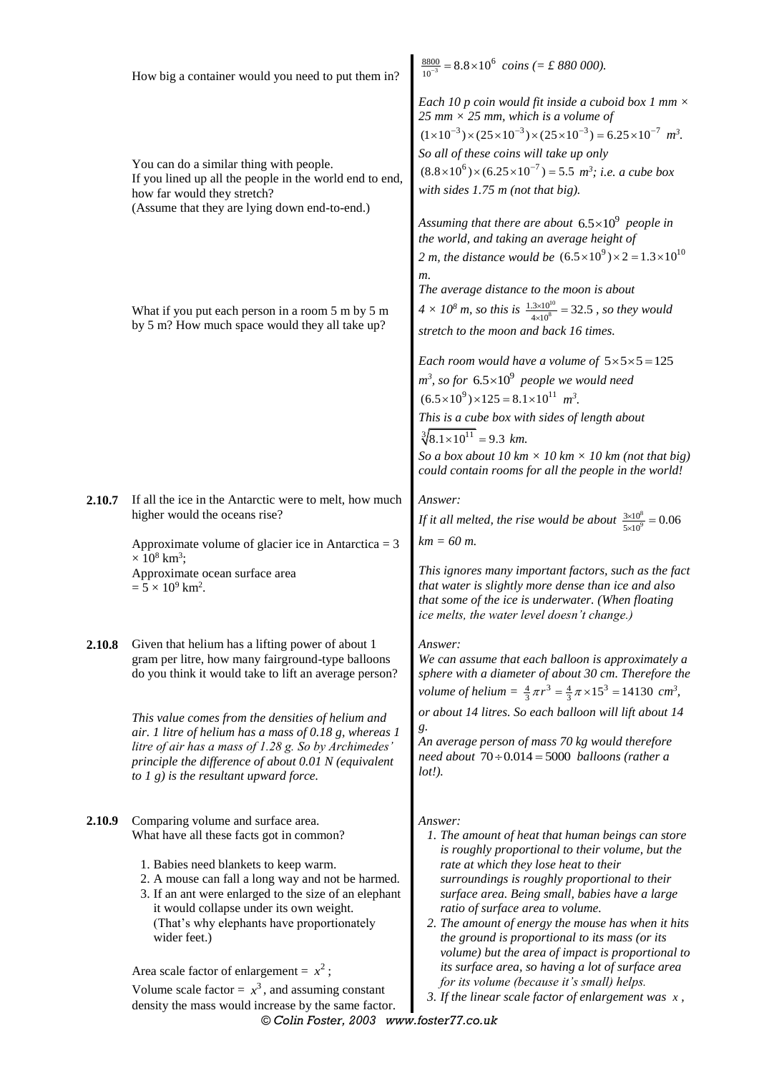|        | How big a container would you need to put them in?                                                                                                                                                                                                                                                                                                                                                                                                                                                                                                    | $\frac{8800}{10^{-3}} = 8.8 \times 10^6$ coins (= £ 880 000).                                                                                                                                                                                                                                                                                                                                                                                                                                                                                                                                                              |
|--------|-------------------------------------------------------------------------------------------------------------------------------------------------------------------------------------------------------------------------------------------------------------------------------------------------------------------------------------------------------------------------------------------------------------------------------------------------------------------------------------------------------------------------------------------------------|----------------------------------------------------------------------------------------------------------------------------------------------------------------------------------------------------------------------------------------------------------------------------------------------------------------------------------------------------------------------------------------------------------------------------------------------------------------------------------------------------------------------------------------------------------------------------------------------------------------------------|
|        | You can do a similar thing with people.<br>If you lined up all the people in the world end to end,<br>how far would they stretch?<br>(Assume that they are lying down end-to-end.)                                                                                                                                                                                                                                                                                                                                                                    | Each 10 p coin would fit inside a cuboid box 1 mm $\times$<br>25 mm $\times$ 25 mm, which is a volume of<br>$(1 \times 10^{-3}) \times (25 \times 10^{-3}) \times (25 \times 10^{-3}) = 6.25 \times 10^{-7}$ m <sup>3</sup> .<br>So all of these coins will take up only<br>$(8.8 \times 10^6) \times (6.25 \times 10^{-7}) = 5.5$ m <sup>3</sup> ; <i>i.e.</i> a cube box<br>with sides $1.75$ m (not that big).<br>Assuming that there are about $6.5 \times 10^9$ people in                                                                                                                                             |
|        | What if you put each person in a room 5 m by 5 m<br>by 5 m? How much space would they all take up?                                                                                                                                                                                                                                                                                                                                                                                                                                                    | the world, and taking an average height of<br>2 m, the distance would be $(6.5 \times 10^{9}) \times 2 = 1.3 \times 10^{10}$<br>m.<br>The average distance to the moon is about<br>$4 \times 10^8$ m, so this is $\frac{1.3 \times 10^{10}}{4 \times 10^8}$ = 32.5, so they would<br>stretch to the moon and back 16 times.                                                                                                                                                                                                                                                                                                |
|        |                                                                                                                                                                                                                                                                                                                                                                                                                                                                                                                                                       | Each room would have a volume of $5 \times 5 \times 5 = 125$<br>$m^3$ , so for 6.5×10 <sup>9</sup> people we would need<br>$(6.5 \times 10^{9}) \times 125 = 8.1 \times 10^{11}$ m <sup>3</sup> .<br>This is a cube box with sides of length about<br>$\sqrt[3]{8.1 \times 10^{11}}$ = 9.3 km.<br>So a box about 10 km $\times$ 10 km $\times$ 10 km (not that big)<br>could contain rooms for all the people in the world!                                                                                                                                                                                                |
| 2.10.7 | If all the ice in the Antarctic were to melt, how much<br>higher would the oceans rise?                                                                                                                                                                                                                                                                                                                                                                                                                                                               | Answer:<br>If it all melted, the rise would be about $\frac{3\times10^8}{5\times10^9}$ = 0.06<br>$km = 60 m$ .                                                                                                                                                                                                                                                                                                                                                                                                                                                                                                             |
|        | Approximate volume of glacier ice in Antarctica = $3$<br>$\times$ 10 <sup>8</sup> km <sup>3</sup> ;<br>Approximate ocean surface area<br>$= 5 \times 10^9$ km <sup>2</sup> .                                                                                                                                                                                                                                                                                                                                                                          | This ignores many important factors, such as the fact<br>that water is slightly more dense than ice and also<br>that some of the ice is underwater. (When floating<br>ice melts, the water level doesn't change.)                                                                                                                                                                                                                                                                                                                                                                                                          |
| 2.10.8 | Given that helium has a lifting power of about 1<br>gram per litre, how many fairground-type balloons<br>do you think it would take to lift an average person?<br>This value comes from the densities of helium and<br>air. 1 litre of helium has a mass of 0.18 g, whereas $1$<br>litre of air has a mass of 1.28 g. So by Archimedes'<br>principle the difference of about 0.01 N (equivalent<br>to $1$ g) is the resultant upward force.                                                                                                           | Answer:<br>We can assume that each balloon is approximately a<br>sphere with a diameter of about 30 cm. Therefore the<br>volume of helium = $\frac{4}{3}\pi r^3 = \frac{4}{3}\pi \times 15^3 = 14130$ cm <sup>3</sup> ,<br>or about 14 litres. So each balloon will lift about 14<br>g.<br>An average person of mass 70 kg would therefore<br>need about $70 \div 0.014 = 5000$ balloons (rather a<br>$lot!$ ).                                                                                                                                                                                                            |
| 2.10.9 | Comparing volume and surface area.<br>What have all these facts got in common?<br>1. Babies need blankets to keep warm.<br>2. A mouse can fall a long way and not be harmed.<br>3. If an ant were enlarged to the size of an elephant<br>it would collapse under its own weight.<br>(That's why elephants have proportionately<br>wider feet.)<br>Area scale factor of enlargement = $x^2$ ;<br>Volume scale factor = $x^3$ , and assuming constant<br>density the mass would increase by the same factor.<br>© Colin Foster, 2003 www.foster77.co.uk | Answer:<br>1. The amount of heat that human beings can store<br>is roughly proportional to their volume, but the<br>rate at which they lose heat to their<br>surroundings is roughly proportional to their<br>surface area. Being small, babies have a large<br>ratio of surface area to volume.<br>2. The amount of energy the mouse has when it hits<br>the ground is proportional to its mass (or its<br>volume) but the area of impact is proportional to<br>its surface area, so having a lot of surface area<br>for its volume (because it's small) helps.<br>3. If the linear scale factor of enlargement was $x$ , |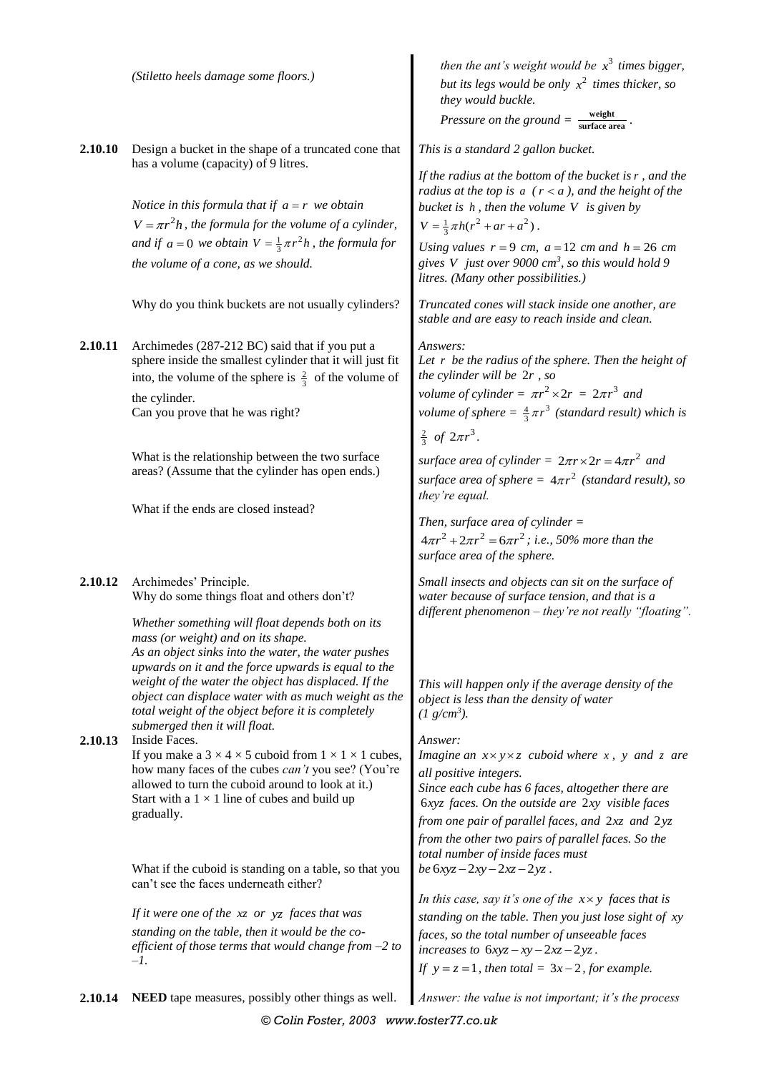|                    | (Stiletto heels damage some floors.)                                                                                                                                                                                                                                                                                                                                                                                                                                                                                                                                                                                                                                                                                                                                            | then the ant's weight would be $x^3$ times bigger,<br>but its legs would be only $x^2$ times thicker, so<br>they would buckle.<br>Pressure on the ground $=\frac{\text{weight}}{\text{surface area}}$ .                                                                                                                                                                                                                                                                                                                                                                                                                                                                                                                                                                                                                                                                                                                                                                                                    |
|--------------------|---------------------------------------------------------------------------------------------------------------------------------------------------------------------------------------------------------------------------------------------------------------------------------------------------------------------------------------------------------------------------------------------------------------------------------------------------------------------------------------------------------------------------------------------------------------------------------------------------------------------------------------------------------------------------------------------------------------------------------------------------------------------------------|------------------------------------------------------------------------------------------------------------------------------------------------------------------------------------------------------------------------------------------------------------------------------------------------------------------------------------------------------------------------------------------------------------------------------------------------------------------------------------------------------------------------------------------------------------------------------------------------------------------------------------------------------------------------------------------------------------------------------------------------------------------------------------------------------------------------------------------------------------------------------------------------------------------------------------------------------------------------------------------------------------|
| 2.10.10<br>2.10.11 | Design a bucket in the shape of a truncated cone that<br>has a volume (capacity) of 9 litres.<br>Notice in this formula that if $a = r$ we obtain<br>$V = \pi r^2 h$ , the formula for the volume of a cylinder,<br>and if $a = 0$ we obtain $V = \frac{1}{3}\pi r^2 h$ , the formula for<br>the volume of a cone, as we should.<br>Why do you think buckets are not usually cylinders?<br>Archimedes (287-212 BC) said that if you put a<br>sphere inside the smallest cylinder that it will just fit<br>into, the volume of the sphere is $\frac{2}{3}$ of the volume of<br>the cylinder.<br>Can you prove that he was right?<br>What is the relationship between the two surface<br>areas? (Assume that the cylinder has open ends.)<br>What if the ends are closed instead? | This is a standard 2 gallon bucket.<br>If the radius at the bottom of the bucket is $r$ , and the<br>radius at the top is $a$ ( $r < a$ ), and the height of the<br>bucket is $h$ , then the volume $V$ is given by<br>$V = \frac{1}{3} \pi h(r^2 + ar + a^2)$ .<br>Using values $r = 9$ cm, $a = 12$ cm and $h = 26$ cm<br>gives V just over 9000 $cm^3$ , so this would hold 9<br>litres. (Many other possibilities.)<br>Truncated cones will stack inside one another, are<br>stable and are easy to reach inside and clean.<br>Answers:<br>Let $r$ be the radius of the sphere. Then the height of<br>the cylinder will be 2r, so<br>volume of cylinder = $\pi r^2 \times 2r = 2\pi r^3$ and<br><i>volume of sphere</i> = $\frac{4}{3}\pi r^3$ ( <i>standard result</i> ) which is<br>$rac{2}{3}$ of $2\pi r^3$ .<br>surface area of cylinder = $2\pi r \times 2r = 4\pi r^2$ and<br>surface area of sphere = $4\pi r^2$ (standard result), so<br>they're equal.<br>Then, surface area of cylinder $=$ |
|                    |                                                                                                                                                                                                                                                                                                                                                                                                                                                                                                                                                                                                                                                                                                                                                                                 | $4\pi r^2 + 2\pi r^2 = 6\pi r^2$ ; i.e., 50% more than the<br>surface area of the sphere.                                                                                                                                                                                                                                                                                                                                                                                                                                                                                                                                                                                                                                                                                                                                                                                                                                                                                                                  |
| 2.10.12<br>2.10.13 | Archimedes' Principle.<br>Why do some things float and others don't?<br>Whether something will float depends both on its<br>mass (or weight) and on its shape.<br>As an object sinks into the water, the water pushes<br>upwards on it and the force upwards is equal to the<br>weight of the water the object has displaced. If the<br>object can displace water with as much weight as the<br>total weight of the object before it is completely<br>submerged then it will float.<br>Inside Faces.<br>If you make a $3 \times 4 \times 5$ cuboid from $1 \times 1 \times 1$ cubes,<br>how many faces of the cubes <i>can't</i> you see? (You're<br>allowed to turn the cuboid around to look at it.)<br>Start with a $1 \times 1$ line of cubes and build up<br>gradually.    | Small insects and objects can sit on the surface of<br>water because of surface tension, and that is a<br>different phenomenon - they're not really "floating".<br>This will happen only if the average density of the<br>object is less than the density of water<br>$(1 \text{ g/cm}^3)$ .<br>Answer:<br><i>Imagine an</i> $x \times y \times z$ <i>cuboid where</i> $x$ <i>,</i> $y$ <i>and</i> $z$ <i>are</i><br>all positive integers.<br>Since each cube has 6 faces, altogether there are<br>6xyz faces. On the outside are 2xy visible faces<br>from one pair of parallel faces, and $2xz$ and $2yz$<br>from the other two pairs of parallel faces. So the<br>total number of inside faces must                                                                                                                                                                                                                                                                                                    |
|                    | What if the cuboid is standing on a table, so that you<br>can't see the faces underneath either?<br>If it were one of the $xz$ or $yz$ faces that was<br>standing on the table, then it would be the co-<br>efficient of those terms that would change from $-2$ to<br>$-l.$                                                                                                                                                                                                                                                                                                                                                                                                                                                                                                    | be $6xyz - 2xy - 2xz - 2yz$ .<br>In this case, say it's one of the $x \times y$ faces that is<br>standing on the table. Then you just lose sight of xy<br>faces, so the total number of unseeable faces<br>increases to $6xyz - xy - 2xz - 2yz$ .<br>If $y = z = 1$ , then total = $3x - 2$ , for example.                                                                                                                                                                                                                                                                                                                                                                                                                                                                                                                                                                                                                                                                                                 |
| 2.10.14            | NEED tape measures, possibly other things as well.                                                                                                                                                                                                                                                                                                                                                                                                                                                                                                                                                                                                                                                                                                                              | Answer: the value is not important; it's the process                                                                                                                                                                                                                                                                                                                                                                                                                                                                                                                                                                                                                                                                                                                                                                                                                                                                                                                                                       |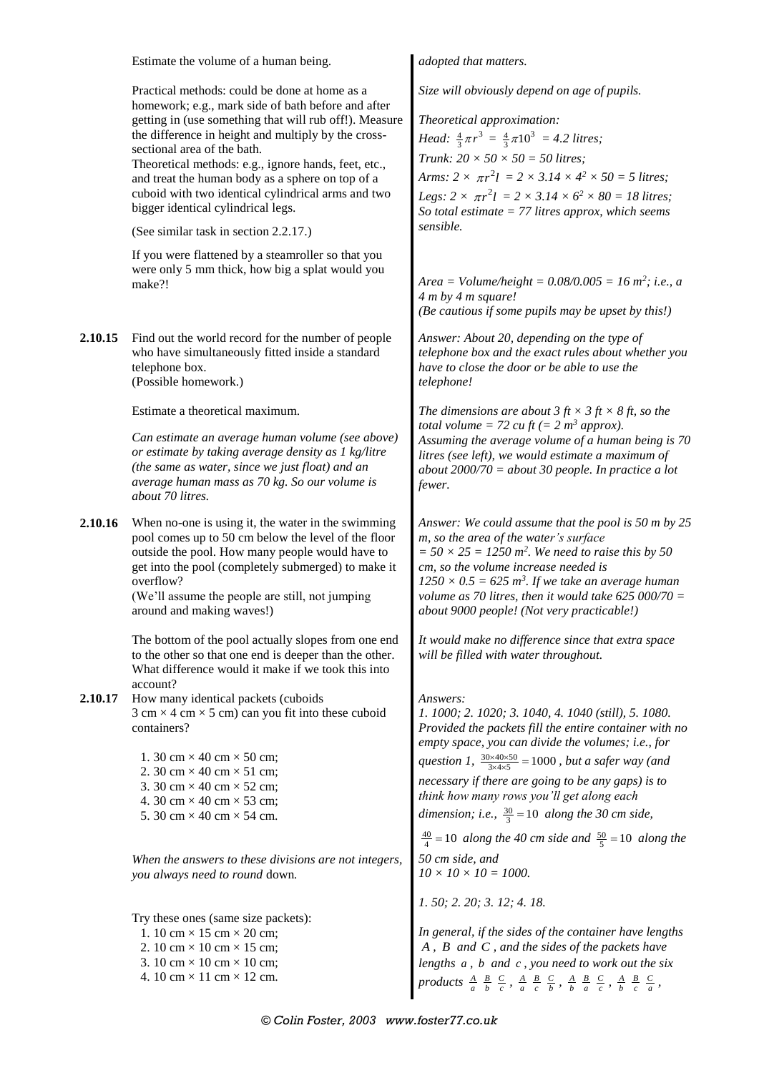|         | Estimate the volume of a human being.                                                                                                                                                                                                                                                                                                                                                                                                                                                                                                                                                                                   | adopted that matters.                                                                                                                                                                                                                                                                                                                                                                                                                                                                                                                                                                           |
|---------|-------------------------------------------------------------------------------------------------------------------------------------------------------------------------------------------------------------------------------------------------------------------------------------------------------------------------------------------------------------------------------------------------------------------------------------------------------------------------------------------------------------------------------------------------------------------------------------------------------------------------|-------------------------------------------------------------------------------------------------------------------------------------------------------------------------------------------------------------------------------------------------------------------------------------------------------------------------------------------------------------------------------------------------------------------------------------------------------------------------------------------------------------------------------------------------------------------------------------------------|
|         | Practical methods: could be done at home as a<br>homework; e.g., mark side of bath before and after<br>getting in (use something that will rub off!). Measure<br>the difference in height and multiply by the cross-<br>sectional area of the bath.<br>Theoretical methods: e.g., ignore hands, feet, etc.,<br>and treat the human body as a sphere on top of a<br>cuboid with two identical cylindrical arms and two<br>bigger identical cylindrical legs.<br>(See similar task in section 2.2.17.)<br>If you were flattened by a steamroller so that you<br>were only 5 mm thick, how big a splat would you<br>make?! | Size will obviously depend on age of pupils.<br>Theoretical approximation:<br><i>Head:</i> $\frac{4}{3}\pi r^3 = \frac{4}{3}\pi 10^3 = 4.2$ <i>litres</i> ;<br>Trunk: $20 \times 50 \times 50 = 50$ litres;<br>Arms: $2 \times \pi r^2 l = 2 \times 3.14 \times 4^2 \times 50 = 5$ litres;<br>Legs: $2 \times \pi r^2 l = 2 \times 3.14 \times 6^2 \times 80 = 18$ litres;<br>So total estimate $= 77$ litres approx, which seems<br>sensible.<br>Area = Volume/height = $0.08/0.005 = 16$ m <sup>2</sup> ; i.e., a<br>4 m by 4 m square!<br>(Be cautious if some pupils may be upset by this!) |
| 2.10.15 | Find out the world record for the number of people<br>who have simultaneously fitted inside a standard<br>telephone box.<br>(Possible homework.)                                                                                                                                                                                                                                                                                                                                                                                                                                                                        | Answer: About 20, depending on the type of<br>telephone box and the exact rules about whether you<br>have to close the door or be able to use the<br>telephone!                                                                                                                                                                                                                                                                                                                                                                                                                                 |
|         | Estimate a theoretical maximum.<br>Can estimate an average human volume (see above)<br>or estimate by taking average density as 1 kg/litre<br>(the same as water, since we just float) and an<br>average human mass as 70 kg. So our volume is<br>about 70 litres.                                                                                                                                                                                                                                                                                                                                                      | The dimensions are about 3 ft $\times$ 3 ft $\times$ 8 ft, so the<br><i>total volume</i> = 72 <i>cu ft</i> (= 2 $m^3$ <i>approx</i> ).<br>Assuming the average volume of a human being is 70<br>litres (see left), we would estimate a maximum of<br>about $2000/70 =$ about 30 people. In practice a lot<br>fewer.                                                                                                                                                                                                                                                                             |
| 2.10.16 | When no-one is using it, the water in the swimming<br>pool comes up to 50 cm below the level of the floor<br>outside the pool. How many people would have to<br>get into the pool (completely submerged) to make it<br>overflow?<br>(We'll assume the people are still, not jumping<br>around and making waves!)                                                                                                                                                                                                                                                                                                        | Answer: We could assume that the pool is 50 m by 25<br>m, so the area of the water's surface<br>$=$ 50 $\times$ 25 $=$ 1250 m <sup>2</sup> . We need to raise this by 50<br>cm, so the volume increase needed is<br>$1250 \times 0.5 = 625$ m <sup>3</sup> . If we take an average human<br>volume as 70 litres, then it would take 625 000/70 $=$<br>about 9000 people! (Not very practicable!)                                                                                                                                                                                                |
|         | The bottom of the pool actually slopes from one end<br>to the other so that one end is deeper than the other.<br>What difference would it make if we took this into<br>account?                                                                                                                                                                                                                                                                                                                                                                                                                                         | It would make no difference since that extra space<br>will be filled with water throughout.                                                                                                                                                                                                                                                                                                                                                                                                                                                                                                     |
| 2.10.17 | How many identical packets (cuboids<br>$3 \text{ cm} \times 4 \text{ cm} \times 5 \text{ cm}$ can you fit into these cuboid<br>containers?<br>1. 30 cm $\times$ 40 cm $\times$ 50 cm;<br>2. 30 cm $\times$ 40 cm $\times$ 51 cm;<br>3. 30 cm $\times$ 40 cm $\times$ 52 cm;<br>4. 30 cm $\times$ 40 cm $\times$ 53 cm;<br>5. 30 cm $\times$ 40 cm $\times$ 54 cm.                                                                                                                                                                                                                                                       | Answers:<br>1. 1000; 2. 1020; 3. 1040, 4. 1040 (still), 5. 1080.<br>Provided the packets fill the entire container with no<br>empty space, you can divide the volumes; i.e., for<br>question 1, $\frac{30\times40\times50}{3\times4\times5}$ = 1000, but a safer way (and<br>necessary if there are going to be any gaps) is to<br>think how many rows you'll get along each<br>dimension; i.e., $\frac{30}{3}$ = 10 along the 30 cm side,<br>$\frac{40}{4}$ = 10 along the 40 cm side and $\frac{50}{5}$ = 10 along the                                                                        |
|         | When the answers to these divisions are not integers,<br>you always need to round down.                                                                                                                                                                                                                                                                                                                                                                                                                                                                                                                                 | 50 cm side, and<br>$10 \times 10 \times 10 = 1000.$                                                                                                                                                                                                                                                                                                                                                                                                                                                                                                                                             |
|         | Try these ones (same size packets):<br>1. 10 cm $\times$ 15 cm $\times$ 20 cm;<br>2. 10 cm $\times$ 10 cm $\times$ 15 cm;<br>3. 10 cm $\times$ 10 cm $\times$ 10 cm;<br>4. 10 cm $\times$ 11 cm $\times$ 12 cm.                                                                                                                                                                                                                                                                                                                                                                                                         | 1. 50; 2. 20; 3. 12; 4. 18.<br>In general, if the sides of the container have lengths<br>$A$ , $B$ and $C$ , and the sides of the packets have<br>lengths $a$ , $b$ and $c$ , you need to work out the six<br>products $\frac{A}{a}$ $\frac{B}{b}$ $\frac{C}{c}$ , $\frac{A}{a}$ $\frac{B}{c}$ $\frac{C}{b}$ , $\frac{A}{b}$ $\frac{B}{a}$ $\frac{C}{c}$ , $\frac{A}{b}$ $\frac{B}{c}$ $\frac{C}{a}$ ,                                                                                                                                                                                          |